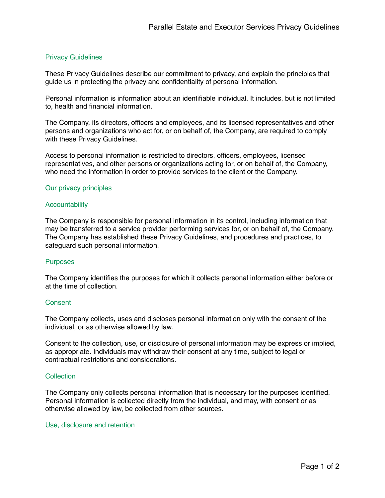# Privacy Guidelines

These Privacy Guidelines describe our commitment to privacy, and explain the principles that guide us in protecting the privacy and confidentiality of personal information.

Personal information is information about an identifiable individual. It includes, but is not limited to, health and financial information.

The Company, its directors, officers and employees, and its licensed representatives and other persons and organizations who act for, or on behalf of, the Company, are required to comply with these Privacy Guidelines.

Access to personal information is restricted to directors, officers, employees, licensed representatives, and other persons or organizations acting for, or on behalf of, the Company, who need the information in order to provide services to the client or the Company.

## Our privacy principles

#### **Accountability**

The Company is responsible for personal information in its control, including information that may be transferred to a service provider performing services for, or on behalf of, the Company. The Company has established these Privacy Guidelines, and procedures and practices, to safeguard such personal information.

## **Purposes**

The Company identifies the purposes for which it collects personal information either before or at the time of collection.

## **Consent**

The Company collects, uses and discloses personal information only with the consent of the individual, or as otherwise allowed by law.

Consent to the collection, use, or disclosure of personal information may be express or implied, as appropriate. Individuals may withdraw their consent at any time, subject to legal or contractual restrictions and considerations.

## **Collection**

The Company only collects personal information that is necessary for the purposes identified. Personal information is collected directly from the individual, and may, with consent or as otherwise allowed by law, be collected from other sources.

#### Use, disclosure and retention